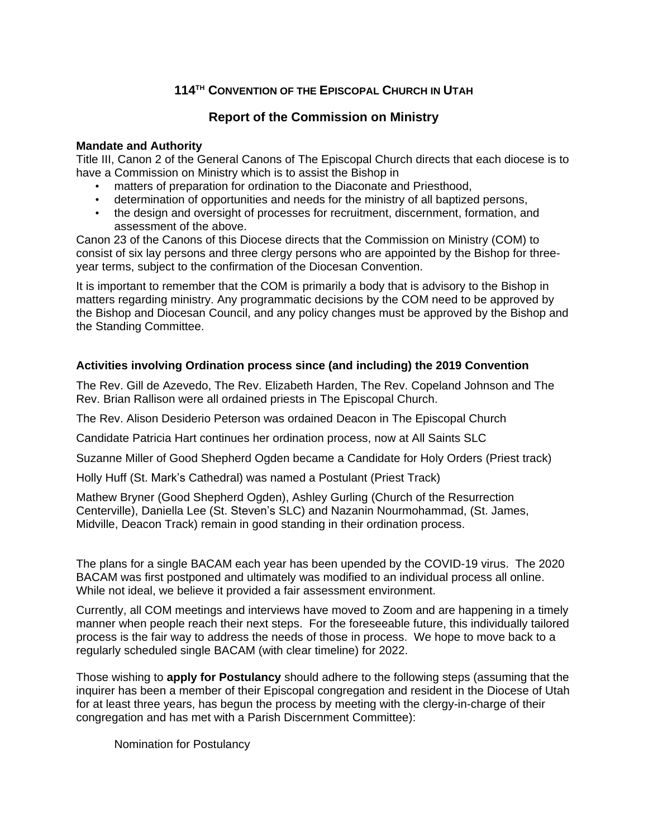## **114 TH CONVENTION OF THE EPISCOPAL CHURCH IN UTAH**

## **Report of the Commission on Ministry**

## **Mandate and Authority**

Title III, Canon 2 of the General Canons of The Episcopal Church directs that each diocese is to have a Commission on Ministry which is to assist the Bishop in

- matters of preparation for ordination to the Diaconate and Priesthood,
- determination of opportunities and needs for the ministry of all baptized persons,
- the design and oversight of processes for recruitment, discernment, formation, and assessment of the above.

Canon 23 of the Canons of this Diocese directs that the Commission on Ministry (COM) to consist of six lay persons and three clergy persons who are appointed by the Bishop for threeyear terms, subject to the confirmation of the Diocesan Convention.

It is important to remember that the COM is primarily a body that is advisory to the Bishop in matters regarding ministry. Any programmatic decisions by the COM need to be approved by the Bishop and Diocesan Council, and any policy changes must be approved by the Bishop and the Standing Committee.

## **Activities involving Ordination process since (and including) the 2019 Convention**

The Rev. Gill de Azevedo, The Rev. Elizabeth Harden, The Rev. Copeland Johnson and The Rev. Brian Rallison were all ordained priests in The Episcopal Church.

The Rev. Alison Desiderio Peterson was ordained Deacon in The Episcopal Church

Candidate Patricia Hart continues her ordination process, now at All Saints SLC

Suzanne Miller of Good Shepherd Ogden became a Candidate for Holy Orders (Priest track)

Holly Huff (St. Mark's Cathedral) was named a Postulant (Priest Track)

Mathew Bryner (Good Shepherd Ogden), Ashley Gurling (Church of the Resurrection Centerville), Daniella Lee (St. Steven's SLC) and Nazanin Nourmohammad, (St. James, Midville, Deacon Track) remain in good standing in their ordination process.

The plans for a single BACAM each year has been upended by the COVID-19 virus. The 2020 BACAM was first postponed and ultimately was modified to an individual process all online. While not ideal, we believe it provided a fair assessment environment.

Currently, all COM meetings and interviews have moved to Zoom and are happening in a timely manner when people reach their next steps. For the foreseeable future, this individually tailored process is the fair way to address the needs of those in process. We hope to move back to a regularly scheduled single BACAM (with clear timeline) for 2022.

Those wishing to **apply for Postulancy** should adhere to the following steps (assuming that the inquirer has been a member of their Episcopal congregation and resident in the Diocese of Utah for at least three years, has begun the process by meeting with the clergy-in-charge of their congregation and has met with a Parish Discernment Committee):

Nomination for Postulancy